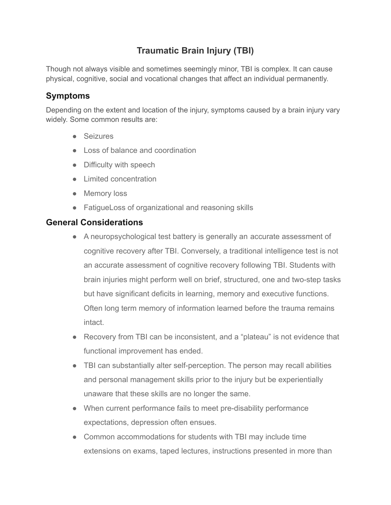## **Traumatic Brain Injury (TBI)**

Though not always visible and sometimes seemingly minor, TBI is complex. It can cause physical, cognitive, social and vocational changes that affect an individual permanently.

## **Symptoms**

Depending on the extent and location of the injury, symptoms caused by a brain injury vary widely. Some common results are:

- Seizures
- Loss of balance and coordination
- Difficulty with speech
- Limited concentration
- Memory loss
- FatigueLoss of organizational and reasoning skills

## **General Considerations**

- A neuropsychological test battery is generally an accurate assessment of cognitive recovery after TBI. Conversely, a traditional intelligence test is not an accurate assessment of cognitive recovery following TBI. Students with brain injuries might perform well on brief, structured, one and two-step tasks but have significant deficits in learning, memory and executive functions. Often long term memory of information learned before the trauma remains intact.
- Recovery from TBI can be inconsistent, and a "plateau" is not evidence that functional improvement has ended.
- TBI can substantially alter self-perception. The person may recall abilities and personal management skills prior to the injury but be experientially unaware that these skills are no longer the same.
- When current performance fails to meet pre-disability performance expectations, depression often ensues.
- Common accommodations for students with TBI may include time extensions on exams, taped lectures, instructions presented in more than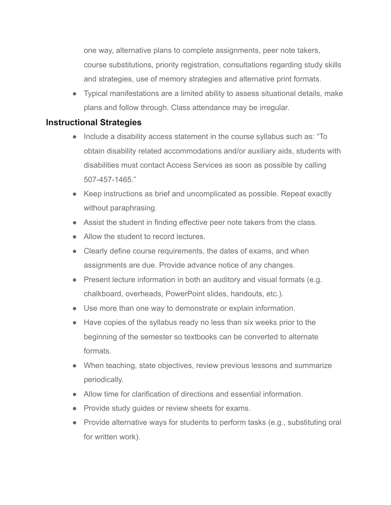one way, alternative plans to complete assignments, peer note takers, course substitutions, priority registration, consultations regarding study skills and strategies, use of memory strategies and alternative print formats.

● Typical manifestations are a limited ability to assess situational details, make plans and follow through. Class attendance may be irregular.

## **Instructional Strategies**

- Include a disability access statement in the course syllabus such as: "To obtain disability related accommodations and/or auxiliary aids, students with disabilities must contact Access Services as soon as possible by calling 507-457-1465."
- Keep instructions as brief and uncomplicated as possible. Repeat exactly without paraphrasing.
- Assist the student in finding effective peer note takers from the class.
- Allow the student to record lectures.
- Clearly define course requirements, the dates of exams, and when assignments are due. Provide advance notice of any changes.
- Present lecture information in both an auditory and visual formats (e.g. chalkboard, overheads, PowerPoint slides, handouts, etc.).
- Use more than one way to demonstrate or explain information.
- Have copies of the syllabus ready no less than six weeks prior to the beginning of the semester so textbooks can be converted to alternate formats.
- When teaching, state objectives, review previous lessons and summarize periodically.
- Allow time for clarification of directions and essential information
- Provide study quides or review sheets for exams.
- Provide alternative ways for students to perform tasks (e.g., substituting oral for written work).